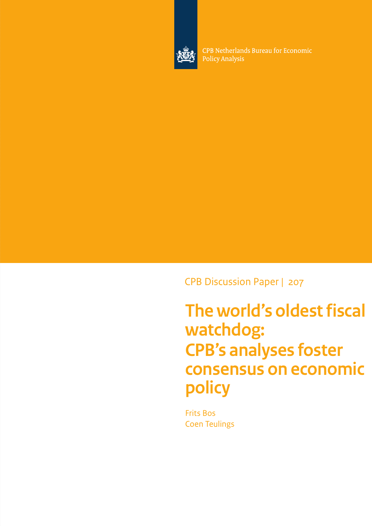

CPB Netherlands Bureau for Economic **Policy Analysis** 

CPB Discussion Paper | 207

**The world's oldest fiscal watchdog: CPB's analyses foster consensus on economic policy**

Frits Bos Coen Teulings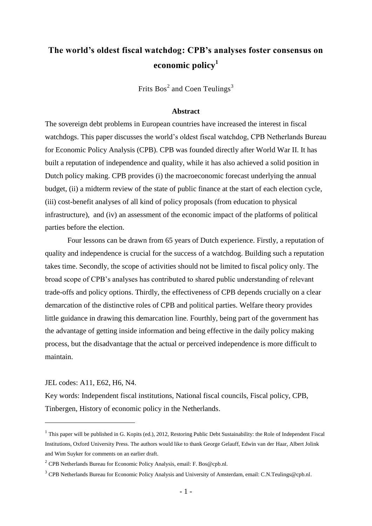# **The world's oldest fiscal watchdog: CPB's analyses foster consensus on economic policy<sup>1</sup>**

Frits  $Bos^2$  and Coen Teulings<sup>3</sup>

#### **Abstract**

The sovereign debt problems in European countries have increased the interest in fiscal watchdogs. This paper discusses the world"s oldest fiscal watchdog, CPB Netherlands Bureau for Economic Policy Analysis (CPB). CPB was founded directly after World War II. It has built a reputation of independence and quality, while it has also achieved a solid position in Dutch policy making. CPB provides (i) the macroeconomic forecast underlying the annual budget, (ii) a midterm review of the state of public finance at the start of each election cycle, (iii) cost-benefit analyses of all kind of policy proposals (from education to physical infrastructure), and (iv) an assessment of the economic impact of the platforms of political parties before the election.

Four lessons can be drawn from 65 years of Dutch experience. Firstly, a reputation of quality and independence is crucial for the success of a watchdog. Building such a reputation takes time. Secondly, the scope of activities should not be limited to fiscal policy only. The broad scope of CPB"s analyses has contributed to shared public understanding of relevant trade-offs and policy options. Thirdly, the effectiveness of CPB depends crucially on a clear demarcation of the distinctive roles of CPB and political parties. Welfare theory provides little guidance in drawing this demarcation line. Fourthly, being part of the government has the advantage of getting inside information and being effective in the daily policy making process, but the disadvantage that the actual or perceived independence is more difficult to maintain.

JEL codes: A11, E62, H6, N4.

<u>.</u>

Key words: Independent fiscal institutions, National fiscal councils, Fiscal policy, CPB, Tinbergen, History of economic policy in the Netherlands.

 $<sup>1</sup>$  This paper will be published in G. Kopits (ed.), 2012, Restoring Public Debt Sustainability: the Role of Independent Fiscal</sup> Institutions, Oxford University Press. The authors would like to thank George Gelauff, Edwin van der Haar, Albert Jolink and Wim Suyker for comments on an earlier draft.

<sup>&</sup>lt;sup>2</sup> CPB Netherlands Bureau for Economic Policy Analysis, email: F. Bos@cpb.nl.

<sup>&</sup>lt;sup>3</sup> CPB Netherlands Bureau for Economic Policy Analysis and University of Amsterdam, email: C.N.Teulings@cpb.nl.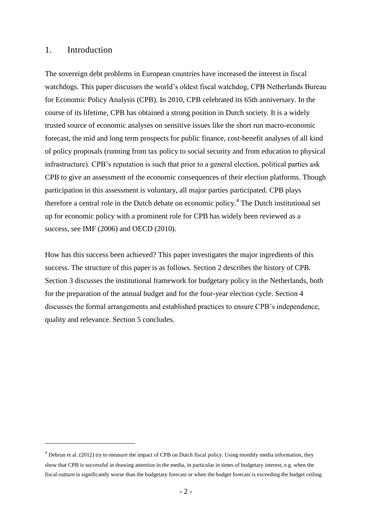### 1. Introduction

<u>.</u>

The sovereign debt problems in European countries have increased the interest in fiscal watchdogs. This paper discusses the world"s oldest fiscal watchdog, CPB Netherlands Bureau for Economic Policy Analysis (CPB). In 2010, CPB celebrated its 65th anniversary. In the course of its lifetime, CPB has obtained a strong position in Dutch society. It is a widely trusted source of economic analyses on sensitive issues like the short run macro-economic forecast, the mid and long term prospects for public finance, cost-benefit analyses of all kind of policy proposals (running from tax policy to social security and from education to physical infrastructure). CPB"s reputation is such that prior to a general election, political parties ask CPB to give an assessment of the economic consequences of their election platforms. Though participation in this assessment is voluntary, all major parties participated. CPB plays therefore a central role in the Dutch debate on economic policy.<sup>4</sup> The Dutch institutional set up for economic policy with a prominent role for CPB has widely been reviewed as a success, see IMF (2006) and OECD (2010).

How has this success been achieved? This paper investigates the major ingredients of this success. The structure of this paper is as follows. Section 2 describes the history of CPB. Section 3 discusses the institutional framework for budgetary policy in the Netherlands, both for the preparation of the annual budget and for the four-year election cycle. Section 4 discusses the formal arrangements and established practices to ensure CPB"s independence, quality and relevance. Section 5 concludes.

<sup>&</sup>lt;sup>4</sup> Debrun et al. (2012) try to measure the impact of CPB on Dutch fiscal policy. Using monthly media information, they show that CPB is successful in drawing attention in the media, in particular in times of budgetary interest, e.g. when the fiscal outturn is significantly worse than the budgetary forecast or when the budget forecast is exceeding the budget ceiling.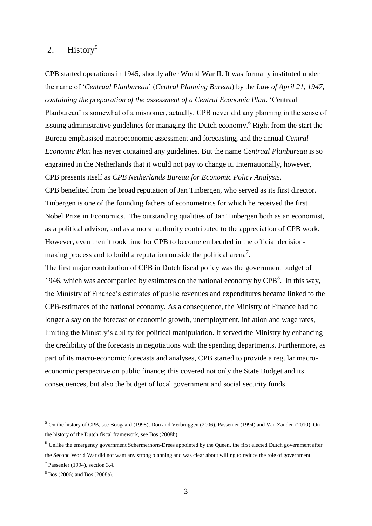# 2. History<sup>5</sup>

CPB started operations in 1945, shortly after World War II. It was formally instituted under the name of "*Centraal Planbureau*" (*Central Planning Bureau*) by the *Law of April 21, 1947, containing the preparation of the assessment of a Central Economic Plan*. "Centraal Planbureau' is somewhat of a misnomer, actually. CPB never did any planning in the sense of issuing administrative guidelines for managing the Dutch economy. <sup>6</sup> Right from the start the Bureau emphasised macroeconomic assessment and forecasting, and the annual *Central Economic Plan* has never contained any guidelines. But the name *Centraal Planbureau* is so engrained in the Netherlands that it would not pay to change it. Internationally, however, CPB presents itself as *CPB Netherlands Bureau for Economic Policy Analysis.* CPB benefited from the broad reputation of Jan Tinbergen, who served as its first director. Tinbergen is one of the founding fathers of econometrics for which he received the first

Nobel Prize in Economics. The outstanding qualities of Jan Tinbergen both as an economist, as a political advisor, and as a moral authority contributed to the appreciation of CPB work. However, even then it took time for CPB to become embedded in the official decisionmaking process and to build a reputation outside the political arena<sup>7</sup>.

The first major contribution of CPB in Dutch fiscal policy was the government budget of 1946, which was accompanied by estimates on the national economy by  $CPB<sup>8</sup>$ . In this way, the Ministry of Finance"s estimates of public revenues and expenditures became linked to the CPB-estimates of the national economy. As a consequence, the Ministry of Finance had no longer a say on the forecast of economic growth, unemployment, inflation and wage rates, limiting the Ministry"s ability for political manipulation. It served the Ministry by enhancing the credibility of the forecasts in negotiations with the spending departments. Furthermore, as part of its macro-economic forecasts and analyses, CPB started to provide a regular macroeconomic perspective on public finance; this covered not only the State Budget and its consequences, but also the budget of local government and social security funds.

<sup>5</sup> On the history of CPB, see Boogaard (1998), Don and Verbruggen (2006), Passenier (1994) and Van Zanden (2010). On the history of the Dutch fiscal framework, see Bos (2008b).

<sup>&</sup>lt;sup>6</sup> Unlike the emergency government Schermerhorn-Drees appointed by the Queen, the first elected Dutch government after the Second World War did not want any strong planning and was clear about willing to reduce the role of government.

<sup>7</sup> Passenier (1994), section 3.4.

<sup>8</sup> Bos (2006) and Bos (2008a).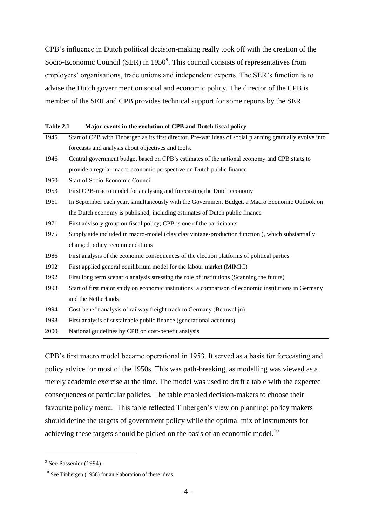CPB"s influence in Dutch political decision-making really took off with the creation of the Socio-Economic Council (SER) in  $1950^9$ . This council consists of representatives from employers' organisations, trade unions and independent experts. The SER's function is to advise the Dutch government on social and economic policy. The director of the CPB is member of the SER and CPB provides technical support for some reports by the SER.

| Table 2.1 | Major events in the evolution of CPB and Dutch fiscal policy |
|-----------|--------------------------------------------------------------|
|-----------|--------------------------------------------------------------|

| 1945 | Start of CPB with Tinbergen as its first director. Pre-war ideas of social planning gradually evolve into |
|------|-----------------------------------------------------------------------------------------------------------|
|      | forecasts and analysis about objectives and tools.                                                        |
| 1946 | Central government budget based on CPB's estimates of the national economy and CPB starts to              |
|      | provide a regular macro-economic perspective on Dutch public finance                                      |
| 1950 | <b>Start of Socio-Economic Council</b>                                                                    |
| 1953 | First CPB-macro model for analysing and forecasting the Dutch economy                                     |
| 1961 | In September each year, simultaneously with the Government Budget, a Macro Economic Outlook on            |
|      | the Dutch economy is published, including estimates of Dutch public finance                               |
| 1971 | First advisory group on fiscal policy; CPB is one of the participants                                     |
| 1975 | Supply side included in macro-model (clay clay vintage-production function), which substantially          |
|      | changed policy recommendations                                                                            |
| 1986 | First analysis of the economic consequences of the election platforms of political parties                |
| 1992 | First applied general equilibrium model for the labour market (MIMIC)                                     |
| 1992 | First long term scenario analysis stressing the role of institutions (Scanning the future)                |
| 1993 | Start of first major study on economic institutions: a comparison of economic institutions in Germany     |
|      | and the Netherlands                                                                                       |
| 1994 | Cost-benefit analysis of railway freight track to Germany (Betuwelijn)                                    |
| 1998 | First analysis of sustainable public finance (generational accounts)                                      |
| 2000 | National guidelines by CPB on cost-benefit analysis                                                       |

CPB"s first macro model became operational in 1953. It served as a basis for forecasting and policy advice for most of the 1950s. This was path-breaking, as modelling was viewed as a merely academic exercise at the time. The model was used to draft a table with the expected consequences of particular policies. The table enabled decision-makers to choose their favourite policy menu. This table reflected Tinbergen's view on planning: policy makers should define the targets of government policy while the optimal mix of instruments for achieving these targets should be picked on the basis of an economic model.<sup>10</sup>

-

<sup>&</sup>lt;sup>9</sup> See Passenier (1994).

<sup>&</sup>lt;sup>10</sup> See Tinbergen (1956) for an elaboration of these ideas.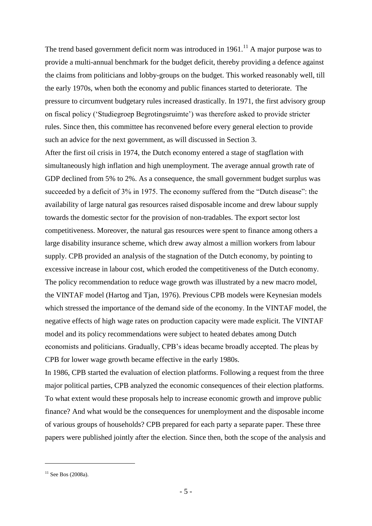The trend based government deficit norm was introduced in  $1961$ .<sup>11</sup> A major purpose was to provide a multi-annual benchmark for the budget deficit, thereby providing a defence against the claims from politicians and lobby-groups on the budget. This worked reasonably well, till the early 1970s, when both the economy and public finances started to deteriorate. The pressure to circumvent budgetary rules increased drastically. In 1971, the first advisory group on fiscal policy ("Studiegroep Begrotingsruimte") was therefore asked to provide stricter rules. Since then, this committee has reconvened before every general election to provide such an advice for the next government, as will discussed in Section 3.

After the first oil crisis in 1974, the Dutch economy entered a stage of stagflation with simultaneously high inflation and high unemployment. The average annual growth rate of GDP declined from 5% to 2%. As a consequence, the small government budget surplus was succeeded by a deficit of 3% in 1975. The economy suffered from the "Dutch disease": the availability of large natural gas resources raised disposable income and drew labour supply towards the domestic sector for the provision of non-tradables. The export sector lost competitiveness. Moreover, the natural gas resources were spent to finance among others a large disability insurance scheme, which drew away almost a million workers from labour supply. CPB provided an analysis of the stagnation of the Dutch economy, by pointing to excessive increase in labour cost, which eroded the competitiveness of the Dutch economy. The policy recommendation to reduce wage growth was illustrated by a new macro model, the VINTAF model (Hartog and Tjan, 1976). Previous CPB models were Keynesian models which stressed the importance of the demand side of the economy. In the VINTAF model, the negative effects of high wage rates on production capacity were made explicit. The VINTAF model and its policy recommendations were subject to heated debates among Dutch economists and politicians. Gradually, CPB"s ideas became broadly accepted. The pleas by CPB for lower wage growth became effective in the early 1980s.

In 1986, CPB started the evaluation of election platforms. Following a request from the three major political parties, CPB analyzed the economic consequences of their election platforms. To what extent would these proposals help to increase economic growth and improve public finance? And what would be the consequences for unemployment and the disposable income of various groups of households? CPB prepared for each party a separate paper. These three papers were published jointly after the election. Since then, both the scope of the analysis and

 $11$  See Bos (2008a).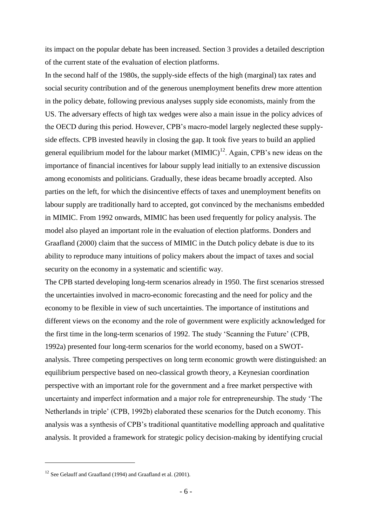its impact on the popular debate has been increased. Section 3 provides a detailed description of the current state of the evaluation of election platforms.

In the second half of the 1980s, the supply-side effects of the high (marginal) tax rates and social security contribution and of the generous unemployment benefits drew more attention in the policy debate, following previous analyses supply side economists, mainly from the US. The adversary effects of high tax wedges were also a main issue in the policy advices of the OECD during this period. However, CPB"s macro-model largely neglected these supplyside effects. CPB invested heavily in closing the gap. It took five years to build an applied general equilibrium model for the labour market  $(MIMIC)^{12}$ . Again, CPB's new ideas on the importance of financial incentives for labour supply lead initially to an extensive discussion among economists and politicians. Gradually, these ideas became broadly accepted. Also parties on the left, for which the disincentive effects of taxes and unemployment benefits on labour supply are traditionally hard to accepted, got convinced by the mechanisms embedded in MIMIC. From 1992 onwards, MIMIC has been used frequently for policy analysis. The model also played an important role in the evaluation of election platforms. Donders and Graafland (2000) claim that the success of MIMIC in the Dutch policy debate is due to its ability to reproduce many intuitions of policy makers about the impact of taxes and social security on the economy in a systematic and scientific way.

The CPB started developing long-term scenarios already in 1950. The first scenarios stressed the uncertainties involved in macro-economic forecasting and the need for policy and the economy to be flexible in view of such uncertainties. The importance of institutions and different views on the economy and the role of government were explicitly acknowledged for the first time in the long-term scenarios of 1992. The study "Scanning the Future" (CPB, 1992a) presented four long-term scenarios for the world economy, based on a SWOTanalysis. Three competing perspectives on long term economic growth were distinguished: an equilibrium perspective based on neo-classical growth theory, a Keynesian coordination perspective with an important role for the government and a free market perspective with uncertainty and imperfect information and a major role for entrepreneurship. The study "The Netherlands in triple" (CPB, 1992b) elaborated these scenarios for the Dutch economy. This analysis was a synthesis of CPB"s traditional quantitative modelling approach and qualitative analysis. It provided a framework for strategic policy decision-making by identifying crucial

<sup>&</sup>lt;sup>12</sup> See Gelauff and Graafland (1994) and Graafland et al. (2001).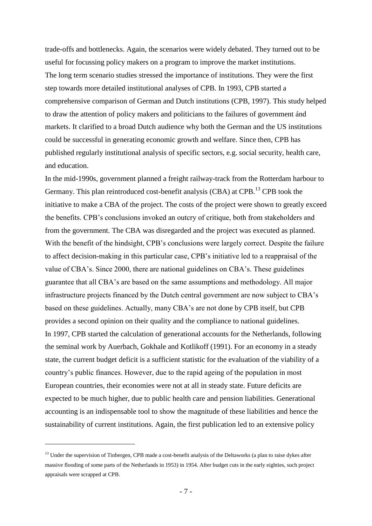trade-offs and bottlenecks. Again, the scenarios were widely debated. They turned out to be useful for focussing policy makers on a program to improve the market institutions. The long term scenario studies stressed the importance of institutions. They were the first step towards more detailed institutional analyses of CPB. In 1993, CPB started a comprehensive comparison of German and Dutch institutions (CPB, 1997). This study helped to draw the attention of policy makers and politicians to the failures of government ánd markets. It clarified to a broad Dutch audience why both the German and the US institutions could be successful in generating economic growth and welfare. Since then, CPB has published regularly institutional analysis of specific sectors, e.g. social security, health care, and education.

In the mid-1990s, government planned a freight railway-track from the Rotterdam harbour to Germany. This plan reintroduced cost-benefit analysis (CBA) at CPB.<sup>13</sup> CPB took the initiative to make a CBA of the project. The costs of the project were shown to greatly exceed the benefits. CPB"s conclusions invoked an outcry of critique, both from stakeholders and from the government. The CBA was disregarded and the project was executed as planned. With the benefit of the hindsight, CPB's conclusions were largely correct. Despite the failure to affect decision-making in this particular case, CPB"s initiative led to a reappraisal of the value of CBA"s. Since 2000, there are national guidelines on CBA"s. These guidelines guarantee that all CBA"s are based on the same assumptions and methodology. All major infrastructure projects financed by the Dutch central government are now subject to CBA"s based on these guidelines. Actually, many CBA"s are not done by CPB itself, but CPB provides a second opinion on their quality and the compliance to national guidelines. In 1997, CPB started the calculation of generational accounts for the Netherlands, following the seminal work by Auerbach, Gokhale and Kotlikoff (1991). For an economy in a steady state, the current budget deficit is a sufficient statistic for the evaluation of the viability of a country"s public finances. However, due to the rapid ageing of the population in most European countries, their economies were not at all in steady state. Future deficits are expected to be much higher, due to public health care and pension liabilities. Generational accounting is an indispensable tool to show the magnitude of these liabilities and hence the sustainability of current institutions. Again, the first publication led to an extensive policy

 $<sup>13</sup>$  Under the supervision of Tinbergen, CPB made a cost-benefit analysis of the Deltaworks (a plan to raise dykes after</sup> massive flooding of some parts of the Netherlands in 1953) in 1954. After budget cuts in the early eighties, such project appraisals were scrapped at CPB.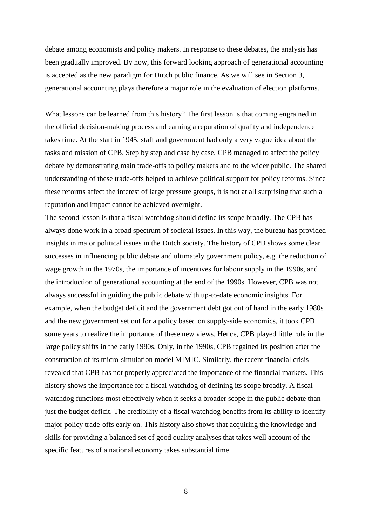debate among economists and policy makers. In response to these debates, the analysis has been gradually improved. By now, this forward looking approach of generational accounting is accepted as the new paradigm for Dutch public finance. As we will see in Section 3, generational accounting plays therefore a major role in the evaluation of election platforms.

What lessons can be learned from this history? The first lesson is that coming engrained in the official decision-making process and earning a reputation of quality and independence takes time. At the start in 1945, staff and government had only a very vague idea about the tasks and mission of CPB. Step by step and case by case, CPB managed to affect the policy debate by demonstrating main trade-offs to policy makers and to the wider public. The shared understanding of these trade-offs helped to achieve political support for policy reforms. Since these reforms affect the interest of large pressure groups, it is not at all surprising that such a reputation and impact cannot be achieved overnight.

The second lesson is that a fiscal watchdog should define its scope broadly. The CPB has always done work in a broad spectrum of societal issues. In this way, the bureau has provided insights in major political issues in the Dutch society. The history of CPB shows some clear successes in influencing public debate and ultimately government policy, e.g. the reduction of wage growth in the 1970s, the importance of incentives for labour supply in the 1990s, and the introduction of generational accounting at the end of the 1990s. However, CPB was not always successful in guiding the public debate with up-to-date economic insights. For example, when the budget deficit and the government debt got out of hand in the early 1980s and the new government set out for a policy based on supply-side economics, it took CPB some years to realize the importance of these new views. Hence, CPB played little role in the large policy shifts in the early 1980s. Only, in the 1990s, CPB regained its position after the construction of its micro-simulation model MIMIC. Similarly, the recent financial crisis revealed that CPB has not properly appreciated the importance of the financial markets. This history shows the importance for a fiscal watchdog of defining its scope broadly. A fiscal watchdog functions most effectively when it seeks a broader scope in the public debate than just the budget deficit. The credibility of a fiscal watchdog benefits from its ability to identify major policy trade-offs early on. This history also shows that acquiring the knowledge and skills for providing a balanced set of good quality analyses that takes well account of the specific features of a national economy takes substantial time.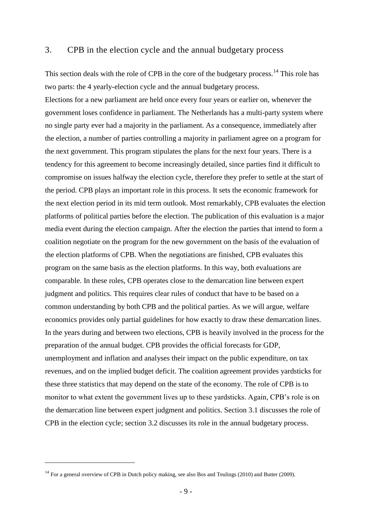### 3. CPB in the election cycle and the annual budgetary process

This section deals with the role of CPB in the core of the budgetary process.<sup>14</sup> This role has two parts: the 4 yearly-election cycle and the annual budgetary process. Elections for a new parliament are held once every four years or earlier on, whenever the government loses confidence in parliament. The Netherlands has a multi-party system where no single party ever had a majority in the parliament. As a consequence, immediately after the election, a number of parties controlling a majority in parliament agree on a program for the next government. This program stipulates the plans for the next four years. There is a tendency for this agreement to become increasingly detailed, since parties find it difficult to compromise on issues halfway the election cycle, therefore they prefer to settle at the start of the period. CPB plays an important role in this process. It sets the economic framework for the next election period in its mid term outlook. Most remarkably, CPB evaluates the election platforms of political parties before the election. The publication of this evaluation is a major media event during the election campaign. After the election the parties that intend to form a coalition negotiate on the program for the new government on the basis of the evaluation of the election platforms of CPB. When the negotiations are finished, CPB evaluates this program on the same basis as the election platforms. In this way, both evaluations are comparable. In these roles, CPB operates close to the demarcation line between expert judgment and politics. This requires clear rules of conduct that have to be based on a common understanding by both CPB and the political parties. As we will argue, welfare economics provides only partial guidelines for how exactly to draw these demarcation lines. In the years during and between two elections, CPB is heavily involved in the process for the preparation of the annual budget. CPB provides the official forecasts for GDP, unemployment and inflation and analyses their impact on the public expenditure, on tax revenues, and on the implied budget deficit. The coalition agreement provides yardsticks for these three statistics that may depend on the state of the economy. The role of CPB is to monitor to what extent the government lives up to these yardsticks. Again, CPB's role is on the demarcation line between expert judgment and politics. Section 3.1 discusses the role of CPB in the election cycle; section 3.2 discusses its role in the annual budgetary process.

<sup>&</sup>lt;sup>14</sup> For a general overview of CPB in Dutch policy making, see also Bos and Teulings (2010) and Butter (2009).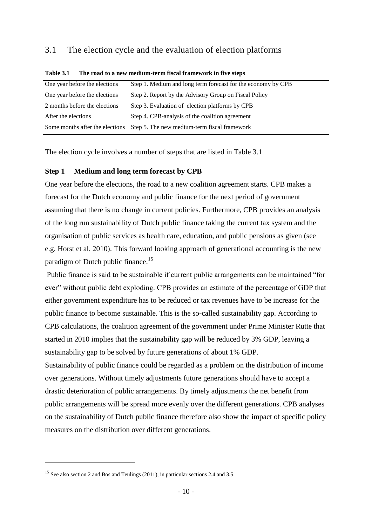# 3.1 The election cycle and the evaluation of election platforms

| Step 1. Medium and long term forecast for the economy by CPB                    |
|---------------------------------------------------------------------------------|
| Step 2. Report by the Advisory Group on Fiscal Policy                           |
| Step 3. Evaluation of election platforms by CPB                                 |
| Step 4. CPB-analysis of the coalition agreement                                 |
| Step 5. The new medium-term fiscal framework<br>Some months after the elections |
|                                                                                 |

#### **Table 3.1 The road to a new medium-term fiscal framework in five steps**

The election cycle involves a number of steps that are listed in Table 3.1

#### **Step 1 Medium and long term forecast by CPB**

One year before the elections, the road to a new coalition agreement starts. CPB makes a forecast for the Dutch economy and public finance for the next period of government assuming that there is no change in current policies. Furthermore, CPB provides an analysis of the long run sustainability of Dutch public finance taking the current tax system and the organisation of public services as health care, education, and public pensions as given (see e.g. Horst et al. 2010). This forward looking approach of generational accounting is the new paradigm of Dutch public finance.<sup>15</sup>

Public finance is said to be sustainable if current public arrangements can be maintained "for ever" without public debt exploding. CPB provides an estimate of the percentage of GDP that either government expenditure has to be reduced or tax revenues have to be increase for the public finance to become sustainable. This is the so-called sustainability gap. According to CPB calculations, the coalition agreement of the government under Prime Minister Rutte that started in 2010 implies that the sustainability gap will be reduced by 3% GDP, leaving a sustainability gap to be solved by future generations of about 1% GDP.

Sustainability of public finance could be regarded as a problem on the distribution of income over generations. Without timely adjustments future generations should have to accept a drastic deterioration of public arrangements. By timely adjustments the net benefit from public arrangements will be spread more evenly over the different generations. CPB analyses on the sustainability of Dutch public finance therefore also show the impact of specific policy measures on the distribution over different generations.

<sup>&</sup>lt;sup>15</sup> See also section 2 and Bos and Teulings (2011), in particular sections 2.4 and 3.5.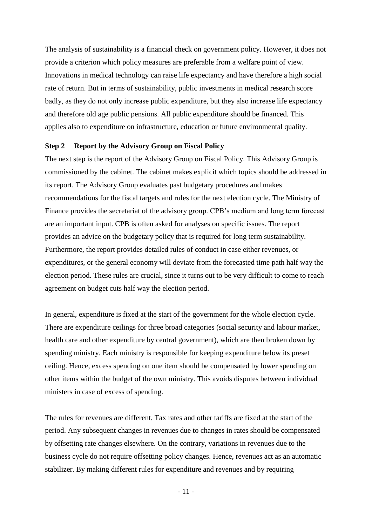The analysis of sustainability is a financial check on government policy. However, it does not provide a criterion which policy measures are preferable from a welfare point of view. Innovations in medical technology can raise life expectancy and have therefore a high social rate of return. But in terms of sustainability, public investments in medical research score badly, as they do not only increase public expenditure, but they also increase life expectancy and therefore old age public pensions. All public expenditure should be financed. This applies also to expenditure on infrastructure, education or future environmental quality.

#### **Step 2 Report by the Advisory Group on Fiscal Policy**

The next step is the report of the Advisory Group on Fiscal Policy. This Advisory Group is commissioned by the cabinet. The cabinet makes explicit which topics should be addressed in its report. The Advisory Group evaluates past budgetary procedures and makes recommendations for the fiscal targets and rules for the next election cycle. The Ministry of Finance provides the secretariat of the advisory group. CPB"s medium and long term forecast are an important input. CPB is often asked for analyses on specific issues. The report provides an advice on the budgetary policy that is required for long term sustainability. Furthermore, the report provides detailed rules of conduct in case either revenues, or expenditures, or the general economy will deviate from the forecasted time path half way the election period. These rules are crucial, since it turns out to be very difficult to come to reach agreement on budget cuts half way the election period.

In general, expenditure is fixed at the start of the government for the whole election cycle. There are expenditure ceilings for three broad categories (social security and labour market, health care and other expenditure by central government), which are then broken down by spending ministry. Each ministry is responsible for keeping expenditure below its preset ceiling. Hence, excess spending on one item should be compensated by lower spending on other items within the budget of the own ministry. This avoids disputes between individual ministers in case of excess of spending.

The rules for revenues are different. Tax rates and other tariffs are fixed at the start of the period. Any subsequent changes in revenues due to changes in rates should be compensated by offsetting rate changes elsewhere. On the contrary, variations in revenues due to the business cycle do not require offsetting policy changes. Hence, revenues act as an automatic stabilizer. By making different rules for expenditure and revenues and by requiring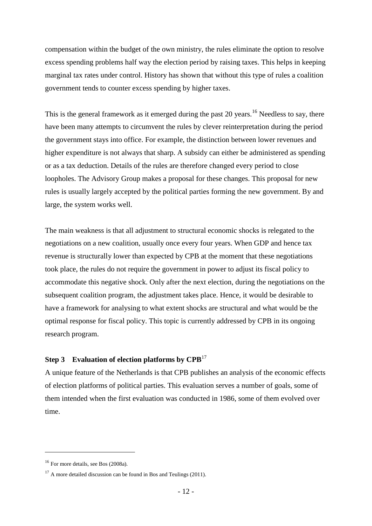compensation within the budget of the own ministry, the rules eliminate the option to resolve excess spending problems half way the election period by raising taxes. This helps in keeping marginal tax rates under control. History has shown that without this type of rules a coalition government tends to counter excess spending by higher taxes.

This is the general framework as it emerged during the past 20 years.<sup>16</sup> Needless to say, there have been many attempts to circumvent the rules by clever reinterpretation during the period the government stays into office. For example, the distinction between lower revenues and higher expenditure is not always that sharp. A subsidy can either be administered as spending or as a tax deduction. Details of the rules are therefore changed every period to close loopholes. The Advisory Group makes a proposal for these changes. This proposal for new rules is usually largely accepted by the political parties forming the new government. By and large, the system works well.

The main weakness is that all adjustment to structural economic shocks is relegated to the negotiations on a new coalition, usually once every four years. When GDP and hence tax revenue is structurally lower than expected by CPB at the moment that these negotiations took place, the rules do not require the government in power to adjust its fiscal policy to accommodate this negative shock. Only after the next election, during the negotiations on the subsequent coalition program, the adjustment takes place. Hence, it would be desirable to have a framework for analysing to what extent shocks are structural and what would be the optimal response for fiscal policy. This topic is currently addressed by CPB in its ongoing research program.

# **Step 3 Evaluation of election platforms by CPB**<sup>17</sup>

A unique feature of the Netherlands is that CPB publishes an analysis of the economic effects of election platforms of political parties. This evaluation serves a number of goals, some of them intended when the first evaluation was conducted in 1986, some of them evolved over time.

<sup>&</sup>lt;sup>16</sup> For more details, see Bos (2008a).

 $17$  A more detailed discussion can be found in Bos and Teulings (2011).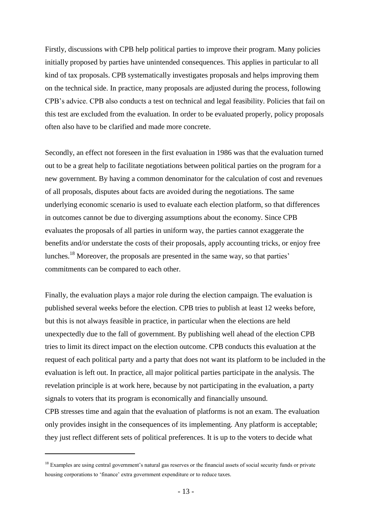Firstly, discussions with CPB help political parties to improve their program. Many policies initially proposed by parties have unintended consequences. This applies in particular to all kind of tax proposals. CPB systematically investigates proposals and helps improving them on the technical side. In practice, many proposals are adjusted during the process, following CPB"s advice. CPB also conducts a test on technical and legal feasibility. Policies that fail on this test are excluded from the evaluation. In order to be evaluated properly, policy proposals often also have to be clarified and made more concrete.

Secondly, an effect not foreseen in the first evaluation in 1986 was that the evaluation turned out to be a great help to facilitate negotiations between political parties on the program for a new government. By having a common denominator for the calculation of cost and revenues of all proposals, disputes about facts are avoided during the negotiations. The same underlying economic scenario is used to evaluate each election platform, so that differences in outcomes cannot be due to diverging assumptions about the economy. Since CPB evaluates the proposals of all parties in uniform way, the parties cannot exaggerate the benefits and/or understate the costs of their proposals, apply accounting tricks, or enjoy free lunches.<sup>18</sup> Moreover, the proposals are presented in the same way, so that parties' commitments can be compared to each other.

Finally, the evaluation plays a major role during the election campaign. The evaluation is published several weeks before the election. CPB tries to publish at least 12 weeks before, but this is not always feasible in practice, in particular when the elections are held unexpectedly due to the fall of government. By publishing well ahead of the election CPB tries to limit its direct impact on the election outcome. CPB conducts this evaluation at the request of each political party and a party that does not want its platform to be included in the evaluation is left out. In practice, all major political parties participate in the analysis. The revelation principle is at work here, because by not participating in the evaluation, a party signals to voters that its program is economically and financially unsound.

CPB stresses time and again that the evaluation of platforms is not an exam. The evaluation only provides insight in the consequences of its implementing. Any platform is acceptable; they just reflect different sets of political preferences. It is up to the voters to decide what

1

<sup>&</sup>lt;sup>18</sup> Examples are using central government's natural gas reserves or the financial assets of social security funds or private housing corporations to "finance" extra government expenditure or to reduce taxes.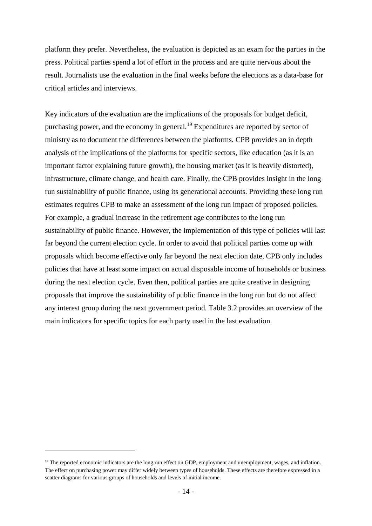platform they prefer. Nevertheless, the evaluation is depicted as an exam for the parties in the press. Political parties spend a lot of effort in the process and are quite nervous about the result. Journalists use the evaluation in the final weeks before the elections as a data-base for critical articles and interviews.

Key indicators of the evaluation are the implications of the proposals for budget deficit, purchasing power, and the economy in general.<sup>19</sup> Expenditures are reported by sector of ministry as to document the differences between the platforms. CPB provides an in depth analysis of the implications of the platforms for specific sectors, like education (as it is an important factor explaining future growth), the housing market (as it is heavily distorted), infrastructure, climate change, and health care. Finally, the CPB provides insight in the long run sustainability of public finance, using its generational accounts. Providing these long run estimates requires CPB to make an assessment of the long run impact of proposed policies. For example, a gradual increase in the retirement age contributes to the long run sustainability of public finance. However, the implementation of this type of policies will last far beyond the current election cycle. In order to avoid that political parties come up with proposals which become effective only far beyond the next election date, CPB only includes policies that have at least some impact on actual disposable income of households or business during the next election cycle. Even then, political parties are quite creative in designing proposals that improve the sustainability of public finance in the long run but do not affect any interest group during the next government period. Table 3.2 provides an overview of the main indicators for specific topics for each party used in the last evaluation.

<sup>&</sup>lt;sup>19</sup> The reported economic indicators are the long run effect on GDP, employment and unemployment, wages, and inflation. The effect on purchasing power may differ widely between types of households. These effects are therefore expressed in a scatter diagrams for various groups of households and levels of initial income.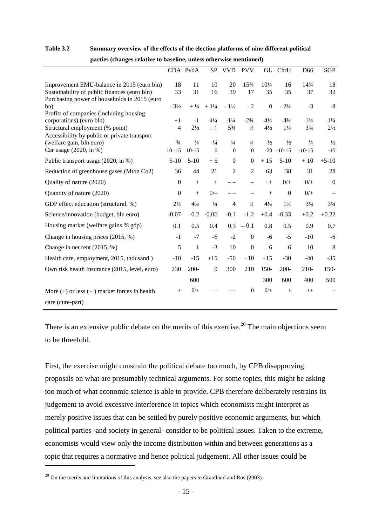#### **Table 3.2 Summary overview of the effects of the election platforms of nine different political**

|                                                                                                                                                        |                        | CDA PvdA               |                       | SP VVD                            | <b>PVV</b>                       |                                 | GL ChrU                           | D <sub>66</sub>                   | <b>SGP</b>                        |
|--------------------------------------------------------------------------------------------------------------------------------------------------------|------------------------|------------------------|-----------------------|-----------------------------------|----------------------------------|---------------------------------|-----------------------------------|-----------------------------------|-----------------------------------|
| Improvement EMU-balance in 2015 (euro bln)<br>Sustainability of public finances (euro bln)                                                             | 18<br>33               | 11<br>31               | 10<br>16              | 20<br>39                          | 153/4<br>17                      | $10^{1/4}$<br>35                | 16<br>35                          | 143/4<br>37                       | 18<br>32                          |
| Purchasing power of households in 2015 (euro<br>bn)                                                                                                    | $-3\frac{1}{2}$        | $+ \frac{1}{4}$        | $+1\frac{1}{4}$       | $-1\frac{1}{2}$                   | $-2$                             | $\overline{0}$                  | $-23/4$                           | $-3$                              | $-8$                              |
| Profits of companies (including housing<br>corporations) (euro bln)<br>Structural employment (% point)<br>Accessibility by public or private transport | $+1$<br>$\overline{4}$ | $-1$<br>$2\frac{1}{2}$ | $-4^{1}/_{4}$<br>$-1$ | $-1\frac{1}{4}$<br>$5\frac{3}{4}$ | $-2\frac{3}{4}$<br>$\frac{1}{4}$ | $-4^{1}/_{4}$<br>$4\frac{1}{2}$ | $-4\frac{3}{4}$<br>$1\frac{1}{4}$ | $-1\frac{3}{4}$<br>$3\frac{3}{4}$ | $-1\frac{1}{4}$<br>$2\frac{1}{2}$ |
| (welfare gain, bln euro)                                                                                                                               | $\frac{3}{4}$          | $\frac{3}{4}$          | $-1/4$                | $\frac{1}{4}$                     | $\frac{1}{4}$                    | $-1/2$                          | $\frac{1}{2}$                     | $\frac{3}{4}$                     | $\frac{1}{2}$                     |
| Car usage (2020, in %)                                                                                                                                 | $10 - 15$              | $10-15$                | $\overline{0}$        | $\mathbf{0}$                      | $\Omega$                         | $-20$                           | $-10-15$                          | $-10-15$                          | $-15$                             |
| Public transport usage (2020, in %)                                                                                                                    | $5-10$                 | $5-10$                 | $+5$                  | $\mathbf{0}$                      | $\boldsymbol{0}$                 | $+15$                           | $5 - 10$                          | $+10$                             | $+5-10$                           |
| Reduction of greenhouse gases (Mton Co2)                                                                                                               | 36                     | 44                     | 21                    | $\overline{2}$                    | $\overline{2}$                   | 63                              | 38                                | 31                                | 28                                |
| Quality of nature (2020)                                                                                                                               | $\mathbf{0}$           | $+$                    | $+$                   | $ -$                              |                                  | $++$                            | $0/+$                             | $0/+$                             | $\boldsymbol{0}$                  |
| Quantity of nature (2020)                                                                                                                              | $\boldsymbol{0}$       | $+$                    | $0/-$                 |                                   |                                  | $+$                             | $\mathbf{0}$                      | $0/+$                             |                                   |
| GDP effect education (structural, %)                                                                                                                   | $2\frac{1}{4}$         | $4\frac{3}{4}$         | $\frac{1}{4}$         | $\overline{4}$                    | $\frac{1}{4}$                    | $4\frac{1}{4}$                  | $1\frac{3}{4}$                    | $3\frac{1}{4}$                    | $3\frac{1}{4}$                    |
| Science/innovation (budget, bln euro)                                                                                                                  |                        | $-0.2$                 | $-0.06$               | $-0.1$                            | $-1.2$                           | $+0.4$                          | $-0.33$                           | $+0.2$                            | $+0.22$                           |
| Housing market (welfare gains % gdp)                                                                                                                   | 0.1                    | 0.5                    | 0.4                   | 0.3                               | $-0.1$                           | 0.8                             | 0.5                               | 0.9                               | 0.7                               |
| Change in housing prices $(2015, %)$                                                                                                                   | $-1$                   | $-7$                   | -6                    | $-2$                              | $\mathbf{0}$                     | $-6$                            | $-5$                              | $-10$                             | $-6$                              |
| Change in net rent $(2015, %)$                                                                                                                         | 5                      | 1                      | $-3$                  | 10                                | $\Omega$                         | 6                               | 6                                 | 10                                | 8                                 |
| Health care, employment, 2015, thousand)                                                                                                               | $-10$                  | $-15$                  | $+15$                 | $-50$                             | $+10$                            | $+15$                           | $-30$                             | $-40$                             | $-35$                             |
| Own risk health insurance (2015, level, euro)                                                                                                          | 230                    | $200 -$                | $\mathbf{0}$          | 300                               | 210                              | $150-$                          | $200 -$                           | $210-$                            | $150-$                            |
|                                                                                                                                                        |                        | 600                    |                       |                                   |                                  | 300                             | 600                               | 400                               | 500                               |
| More $(+)$ or less $(-)$ market forces in health                                                                                                       | $^{+}$                 | $0/+$                  |                       | $^{++}$                           | $\mathbf{0}$                     | $0/+$                           | $^{+}$                            | $^{++}$                           | $+$                               |
| care (cure-part)                                                                                                                                       |                        |                        |                       |                                   |                                  |                                 |                                   |                                   |                                   |

 **parties (changes relative to baseline, unless otherwise mentioned)**

There is an extensive public debate on the merits of this exercise.<sup>20</sup> The main objections seem to be threefold.

First, the exercise might constrain the political debate too much, by CPB disapproving proposals on what are presumably technical arguments. For some topics, this might be asking too much of what economic science is able to provide. CPB therefore deliberately restrains its judgement to avoid excessive interference in topics which economists might interpret as merely positive issues that can be settled by purely positive economic arguments, but which political parties -and society in general- consider to be political issues. Taken to the extreme, economists would view only the income distribution within and between generations as a topic that requires a normative and hence political judgement. All other issues could be

 $^{20}$  On the merits and limitations of this analysis, see also the papers in Graafland and Ros (2003).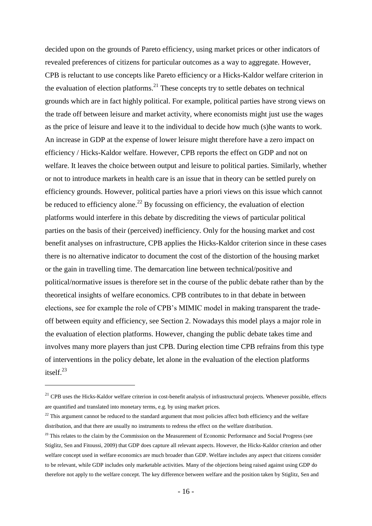decided upon on the grounds of Pareto efficiency, using market prices or other indicators of revealed preferences of citizens for particular outcomes as a way to aggregate. However, CPB is reluctant to use concepts like Pareto efficiency or a Hicks-Kaldor welfare criterion in the evaluation of election platforms.<sup>21</sup> These concepts try to settle debates on technical grounds which are in fact highly political. For example, political parties have strong views on the trade off between leisure and market activity, where economists might just use the wages as the price of leisure and leave it to the individual to decide how much (s)he wants to work. An increase in GDP at the expense of lower leisure might therefore have a zero impact on efficiency / Hicks-Kaldor welfare. However, CPB reports the effect on GDP and not on welfare. It leaves the choice between output and leisure to political parties. Similarly, whether or not to introduce markets in health care is an issue that in theory can be settled purely on efficiency grounds. However, political parties have a priori views on this issue which cannot be reduced to efficiency alone.<sup>22</sup> By focussing on efficiency, the evaluation of election platforms would interfere in this debate by discrediting the views of particular political parties on the basis of their (perceived) inefficiency. Only for the housing market and cost benefit analyses on infrastructure, CPB applies the Hicks-Kaldor criterion since in these cases there is no alternative indicator to document the cost of the distortion of the housing market or the gain in travelling time. The demarcation line between technical/positive and political/normative issues is therefore set in the course of the public debate rather than by the theoretical insights of welfare economics. CPB contributes to in that debate in between elections, see for example the role of CPB"s MIMIC model in making transparent the tradeoff between equity and efficiency, see Section 2. Nowadays this model plays a major role in the evaluation of election platforms. However, changing the public debate takes time and involves many more players than just CPB. During election time CPB refrains from this type of interventions in the policy debate, let alone in the evaluation of the election platforms itself.<sup>23</sup>

<sup>&</sup>lt;sup>21</sup> CPB uses the Hicks-Kaldor welfare criterion in cost-benefit analysis of infrastructural projects. Whenever possible, effects are quantified and translated into monetary terms, e.g. by using market prices.

 $22$  This argument cannot be reduced to the standard argument that most policies affect both efficiency and the welfare distribution, and that there are usually no instruments to redress the effect on the welfare distribution.

<sup>&</sup>lt;sup>23</sup> This relates to the claim by the Commission on the Measurement of Economic Performance and Social Progress (see Stiglitz, Sen and Fitoussi, 2009) that GDP does capture all relevant aspects. However, the Hicks-Kaldor criterion and other welfare concept used in welfare economics are much broader than GDP. Welfare includes any aspect that citizens consider to be relevant, while GDP includes only marketable activities. Many of the objections being raised against using GDP do therefore not apply to the welfare concept. The key difference between welfare and the position taken by Stiglitz, Sen and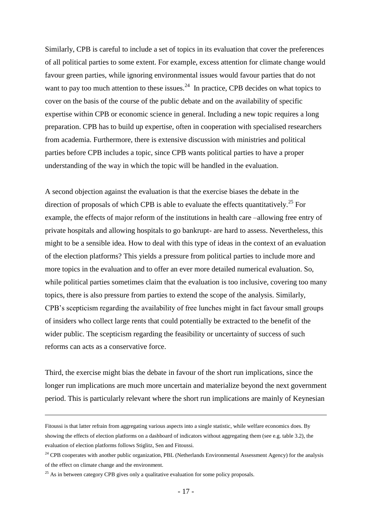Similarly, CPB is careful to include a set of topics in its evaluation that cover the preferences of all political parties to some extent. For example, excess attention for climate change would favour green parties, while ignoring environmental issues would favour parties that do not want to pay too much attention to these issues. $^{24}$  In practice, CPB decides on what topics to cover on the basis of the course of the public debate and on the availability of specific expertise within CPB or economic science in general. Including a new topic requires a long preparation. CPB has to build up expertise, often in cooperation with specialised researchers from academia. Furthermore, there is extensive discussion with ministries and political parties before CPB includes a topic, since CPB wants political parties to have a proper understanding of the way in which the topic will be handled in the evaluation.

A second objection against the evaluation is that the exercise biases the debate in the direction of proposals of which CPB is able to evaluate the effects quantitatively.<sup>25</sup> For example, the effects of major reform of the institutions in health care –allowing free entry of private hospitals and allowing hospitals to go bankrupt- are hard to assess. Nevertheless, this might to be a sensible idea. How to deal with this type of ideas in the context of an evaluation of the election platforms? This yields a pressure from political parties to include more and more topics in the evaluation and to offer an ever more detailed numerical evaluation. So, while political parties sometimes claim that the evaluation is too inclusive, covering too many topics, there is also pressure from parties to extend the scope of the analysis. Similarly, CPB"s scepticism regarding the availability of free lunches might in fact favour small groups of insiders who collect large rents that could potentially be extracted to the benefit of the wider public. The scepticism regarding the feasibility or uncertainty of success of such reforms can acts as a conservative force.

Third, the exercise might bias the debate in favour of the short run implications, since the longer run implications are much more uncertain and materialize beyond the next government period. This is particularly relevant where the short run implications are mainly of Keynesian

Fitoussi is that latter refrain from aggregating various aspects into a single statistic, while welfare economics does. By showing the effects of election platforms on a dashboard of indicators without aggregating them (see e.g. table 3.2), the evaluation of election platforms follows Stiglitz, Sen and Fitoussi.

 $24$  CPB cooperates with another public organization, PBL (Netherlands Environmental Assessment Agency) for the analysis of the effect on climate change and the environment.

 $25$  As in between category CPB gives only a qualitative evaluation for some policy proposals.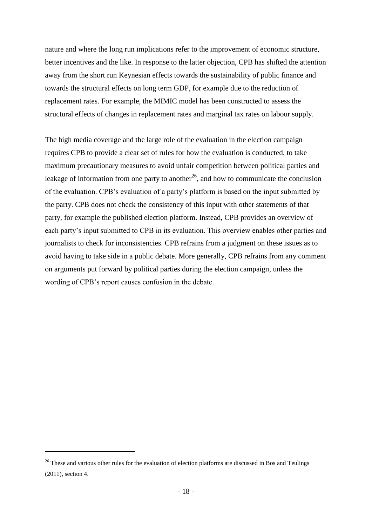nature and where the long run implications refer to the improvement of economic structure, better incentives and the like. In response to the latter objection, CPB has shifted the attention away from the short run Keynesian effects towards the sustainability of public finance and towards the structural effects on long term GDP, for example due to the reduction of replacement rates. For example, the MIMIC model has been constructed to assess the structural effects of changes in replacement rates and marginal tax rates on labour supply.

The high media coverage and the large role of the evaluation in the election campaign requires CPB to provide a clear set of rules for how the evaluation is conducted, to take maximum precautionary measures to avoid unfair competition between political parties and leakage of information from one party to another<sup>26</sup>, and how to communicate the conclusion of the evaluation. CPB"s evaluation of a party"s platform is based on the input submitted by the party. CPB does not check the consistency of this input with other statements of that party, for example the published election platform. Instead, CPB provides an overview of each party"s input submitted to CPB in its evaluation. This overview enables other parties and journalists to check for inconsistencies. CPB refrains from a judgment on these issues as to avoid having to take side in a public debate. More generally, CPB refrains from any comment on arguments put forward by political parties during the election campaign, unless the wording of CPB's report causes confusion in the debate.

1

<sup>&</sup>lt;sup>26</sup> These and various other rules for the evaluation of election platforms are discussed in Bos and Teulings (2011), section 4.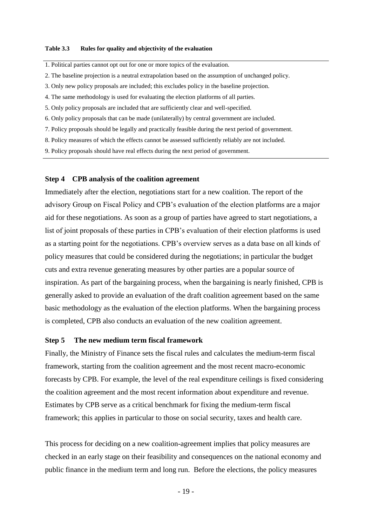#### **Table 3.3 Rules for quality and objectivity of the evaluation**

- 1. Political parties cannot opt out for one or more topics of the evaluation.
- 2. The baseline projection is a neutral extrapolation based on the assumption of unchanged policy.
- 3. Only new policy proposals are included; this excludes policy in the baseline projection.
- 4. The same methodology is used for evaluating the election platforms of all parties.
- 5. Only policy proposals are included that are sufficiently clear and well-specified.
- 6. Only policy proposals that can be made (unilaterally) by central government are included.
- 7. Policy proposals should be legally and practically feasible during the next period of government.
- 8. Policy measures of which the effects cannot be assessed sufficiently reliably are not included.
- 9. Policy proposals should have real effects during the next period of government.

#### **Step 4 CPB analysis of the coalition agreement**

Immediately after the election, negotiations start for a new coalition. The report of the advisory Group on Fiscal Policy and CPB"s evaluation of the election platforms are a major aid for these negotiations. As soon as a group of parties have agreed to start negotiations, a list of joint proposals of these parties in CPB"s evaluation of their election platforms is used as a starting point for the negotiations. CPB"s overview serves as a data base on all kinds of policy measures that could be considered during the negotiations; in particular the budget cuts and extra revenue generating measures by other parties are a popular source of inspiration. As part of the bargaining process, when the bargaining is nearly finished, CPB is generally asked to provide an evaluation of the draft coalition agreement based on the same basic methodology as the evaluation of the election platforms. When the bargaining process is completed, CPB also conducts an evaluation of the new coalition agreement.

#### **Step 5 The new medium term fiscal framework**

Finally, the Ministry of Finance sets the fiscal rules and calculates the medium-term fiscal framework, starting from the coalition agreement and the most recent macro-economic forecasts by CPB. For example, the level of the real expenditure ceilings is fixed considering the coalition agreement and the most recent information about expenditure and revenue. Estimates by CPB serve as a critical benchmark for fixing the medium-term fiscal framework; this applies in particular to those on social security, taxes and health care.

This process for deciding on a new coalition-agreement implies that policy measures are checked in an early stage on their feasibility and consequences on the national economy and public finance in the medium term and long run. Before the elections, the policy measures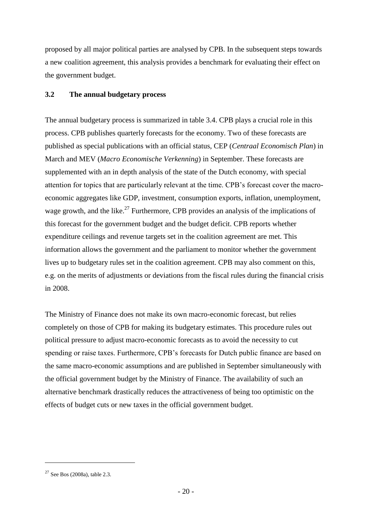proposed by all major political parties are analysed by CPB. In the subsequent steps towards a new coalition agreement, this analysis provides a benchmark for evaluating their effect on the government budget.

# **3.2 The annual budgetary process**

The annual budgetary process is summarized in table 3.4. CPB plays a crucial role in this process. CPB publishes quarterly forecasts for the economy. Two of these forecasts are published as special publications with an official status, CEP (*Centraal Economisch Plan*) in March and MEV (*Macro Economische Verkenning*) in September. These forecasts are supplemented with an in depth analysis of the state of the Dutch economy, with special attention for topics that are particularly relevant at the time. CPB"s forecast cover the macroeconomic aggregates like GDP, investment, consumption exports, inflation, unemployment, wage growth, and the like.<sup>27</sup> Furthermore, CPB provides an analysis of the implications of this forecast for the government budget and the budget deficit. CPB reports whether expenditure ceilings and revenue targets set in the coalition agreement are met. This information allows the government and the parliament to monitor whether the government lives up to budgetary rules set in the coalition agreement. CPB may also comment on this, e.g. on the merits of adjustments or deviations from the fiscal rules during the financial crisis in 2008.

The Ministry of Finance does not make its own macro-economic forecast, but relies completely on those of CPB for making its budgetary estimates. This procedure rules out political pressure to adjust macro-economic forecasts as to avoid the necessity to cut spending or raise taxes. Furthermore, CPB"s forecasts for Dutch public finance are based on the same macro-economic assumptions and are published in September simultaneously with the official government budget by the Ministry of Finance. The availability of such an alternative benchmark drastically reduces the attractiveness of being too optimistic on the effects of budget cuts or new taxes in the official government budget.

<sup>27</sup> See Bos (2008a), table 2.3.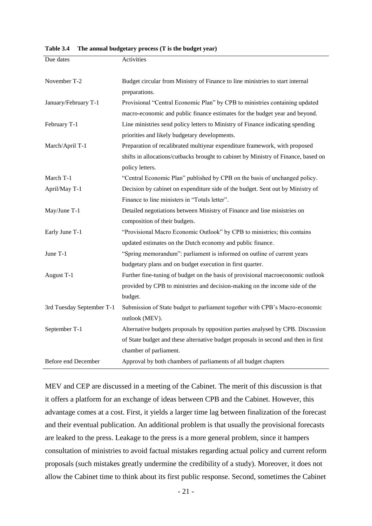**Table 3.4 The annual budgetary process (T is the budget year)**

| Due dates                 | Activities                                                                         |  |  |  |  |
|---------------------------|------------------------------------------------------------------------------------|--|--|--|--|
|                           |                                                                                    |  |  |  |  |
| November T-2              | Budget circular from Ministry of Finance to line ministries to start internal      |  |  |  |  |
|                           | preparations.                                                                      |  |  |  |  |
| January/February T-1      | Provisional "Central Economic Plan" by CPB to ministries containing updated        |  |  |  |  |
|                           | macro-economic and public finance estimates for the budget year and beyond.        |  |  |  |  |
| February T-1              | Line ministries send policy letters to Ministry of Finance indicating spending     |  |  |  |  |
|                           | priorities and likely budgetary developments.                                      |  |  |  |  |
| March/April T-1           | Preparation of recalibrated multiyear expenditure framework, with proposed         |  |  |  |  |
|                           | shifts in allocations/cutbacks brought to cabinet by Ministry of Finance, based on |  |  |  |  |
|                           | policy letters.                                                                    |  |  |  |  |
| March T-1                 | "Central Economic Plan" published by CPB on the basis of unchanged policy.         |  |  |  |  |
| April/May T-1             | Decision by cabinet on expenditure side of the budget. Sent out by Ministry of     |  |  |  |  |
|                           | Finance to line ministers in "Totals letter".                                      |  |  |  |  |
| May/June T-1              | Detailed negotiations between Ministry of Finance and line ministries on           |  |  |  |  |
|                           | composition of their budgets.                                                      |  |  |  |  |
| Early June T-1            | "Provisional Macro Economic Outlook" by CPB to ministries; this contains           |  |  |  |  |
|                           | updated estimates on the Dutch economy and public finance.                         |  |  |  |  |
| June T-1                  | "Spring memorandum": parliament is informed on outline of current years            |  |  |  |  |
|                           | budgetary plans and on budget execution in first quarter.                          |  |  |  |  |
| August T-1                | Further fine-tuning of budget on the basis of provisional macroeconomic outlook    |  |  |  |  |
|                           | provided by CPB to ministries and decision-making on the income side of the        |  |  |  |  |
|                           | budget.                                                                            |  |  |  |  |
| 3rd Tuesday September T-1 | Submission of State budget to parliament together with CPB's Macro-economic        |  |  |  |  |
|                           | outlook (MEV).                                                                     |  |  |  |  |
| September T-1             | Alternative budgets proposals by opposition parties analysed by CPB. Discussion    |  |  |  |  |
|                           | of State budget and these alternative budget proposals in second and then in first |  |  |  |  |
|                           | chamber of parliament.                                                             |  |  |  |  |
| Before end December       | Approval by both chambers of parliaments of all budget chapters                    |  |  |  |  |

MEV and CEP are discussed in a meeting of the Cabinet. The merit of this discussion is that it offers a platform for an exchange of ideas between CPB and the Cabinet. However, this advantage comes at a cost. First, it yields a larger time lag between finalization of the forecast and their eventual publication. An additional problem is that usually the provisional forecasts are leaked to the press. Leakage to the press is a more general problem, since it hampers consultation of ministries to avoid factual mistakes regarding actual policy and current reform proposals (such mistakes greatly undermine the credibility of a study). Moreover, it does not allow the Cabinet time to think about its first public response. Second, sometimes the Cabinet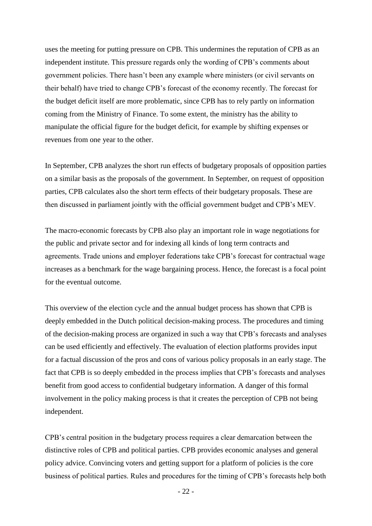uses the meeting for putting pressure on CPB. This undermines the reputation of CPB as an independent institute. This pressure regards only the wording of CPB"s comments about government policies. There hasn"t been any example where ministers (or civil servants on their behalf) have tried to change CPB"s forecast of the economy recently. The forecast for the budget deficit itself are more problematic, since CPB has to rely partly on information coming from the Ministry of Finance. To some extent, the ministry has the ability to manipulate the official figure for the budget deficit, for example by shifting expenses or revenues from one year to the other.

In September, CPB analyzes the short run effects of budgetary proposals of opposition parties on a similar basis as the proposals of the government. In September, on request of opposition parties, CPB calculates also the short term effects of their budgetary proposals. These are then discussed in parliament jointly with the official government budget and CPB"s MEV.

The macro-economic forecasts by CPB also play an important role in wage negotiations for the public and private sector and for indexing all kinds of long term contracts and agreements. Trade unions and employer federations take CPB"s forecast for contractual wage increases as a benchmark for the wage bargaining process. Hence, the forecast is a focal point for the eventual outcome.

This overview of the election cycle and the annual budget process has shown that CPB is deeply embedded in the Dutch political decision-making process. The procedures and timing of the decision-making process are organized in such a way that CPB"s forecasts and analyses can be used efficiently and effectively. The evaluation of election platforms provides input for a factual discussion of the pros and cons of various policy proposals in an early stage. The fact that CPB is so deeply embedded in the process implies that CPB's forecasts and analyses benefit from good access to confidential budgetary information. A danger of this formal involvement in the policy making process is that it creates the perception of CPB not being independent.

CPB"s central position in the budgetary process requires a clear demarcation between the distinctive roles of CPB and political parties. CPB provides economic analyses and general policy advice. Convincing voters and getting support for a platform of policies is the core business of political parties. Rules and procedures for the timing of CPB"s forecasts help both

- 22 -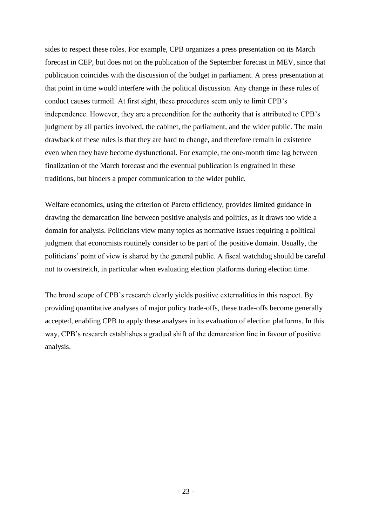sides to respect these roles. For example, CPB organizes a press presentation on its March forecast in CEP, but does not on the publication of the September forecast in MEV, since that publication coincides with the discussion of the budget in parliament. A press presentation at that point in time would interfere with the political discussion. Any change in these rules of conduct causes turmoil. At first sight, these procedures seem only to limit CPB"s independence. However, they are a precondition for the authority that is attributed to CPB"s judgment by all parties involved, the cabinet, the parliament, and the wider public. The main drawback of these rules is that they are hard to change, and therefore remain in existence even when they have become dysfunctional. For example, the one-month time lag between finalization of the March forecast and the eventual publication is engrained in these traditions, but hinders a proper communication to the wider public.

Welfare economics, using the criterion of Pareto efficiency, provides limited guidance in drawing the demarcation line between positive analysis and politics, as it draws too wide a domain for analysis. Politicians view many topics as normative issues requiring a political judgment that economists routinely consider to be part of the positive domain. Usually, the politicians" point of view is shared by the general public. A fiscal watchdog should be careful not to overstretch, in particular when evaluating election platforms during election time.

The broad scope of CPB"s research clearly yields positive externalities in this respect. By providing quantitative analyses of major policy trade-offs, these trade-offs become generally accepted, enabling CPB to apply these analyses in its evaluation of election platforms. In this way, CPB's research establishes a gradual shift of the demarcation line in favour of positive analysis.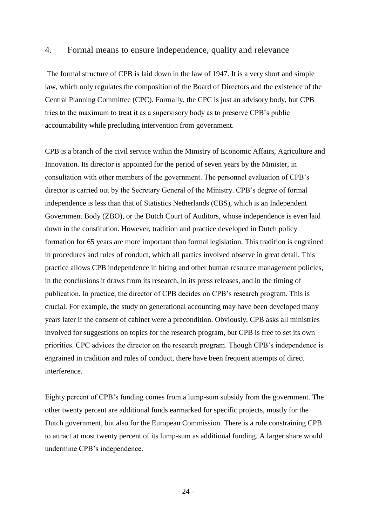### 4. Formal means to ensure independence, quality and relevance

The formal structure of CPB is laid down in the law of 1947. It is a very short and simple law, which only regulates the composition of the Board of Directors and the existence of the Central Planning Committee (CPC). Formally, the CPC is just an advisory body, but CPB tries to the maximum to treat it as a supervisory body as to preserve CPB"s public accountability while precluding intervention from government.

CPB is a branch of the civil service within the Ministry of Economic Affairs, Agriculture and Innovation. Its director is appointed for the period of seven years by the Minister, in consultation with other members of the government. The personnel evaluation of CPB"s director is carried out by the Secretary General of the Ministry. CPB"s degree of formal independence is less than that of Statistics Netherlands (CBS), which is an Independent Government Body (ZBO), or the Dutch Court of Auditors, whose independence is even laid down in the constitution. However, tradition and practice developed in Dutch policy formation for 65 years are more important than formal legislation. This tradition is engrained in procedures and rules of conduct, which all parties involved observe in great detail. This practice allows CPB independence in hiring and other human resource management policies, in the conclusions it draws from its research, in its press releases, and in the timing of publication. In practice, the director of CPB decides on CPB"s research program. This is crucial. For example, the study on generational accounting may have been developed many years later if the consent of cabinet were a precondition. Obviously, CPB asks all ministries involved for suggestions on topics for the research program, but CPB is free to set its own priorities. CPC advices the director on the research program. Though CPB"s independence is engrained in tradition and rules of conduct, there have been frequent attempts of direct interference.

Eighty percent of CPB"s funding comes from a lump-sum subsidy from the government. The other twenty percent are additional funds earmarked for specific projects, mostly for the Dutch government, but also for the European Commission. There is a rule constraining CPB to attract at most twenty percent of its lump-sum as additional funding. A larger share would undermine CPB"s independence.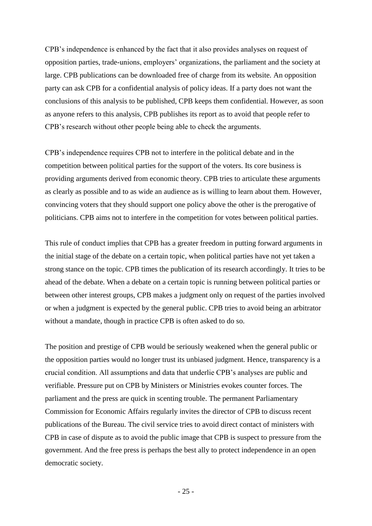CPB"s independence is enhanced by the fact that it also provides analyses on request of opposition parties, trade-unions, employers" organizations, the parliament and the society at large. CPB publications can be downloaded free of charge from its website. An opposition party can ask CPB for a confidential analysis of policy ideas. If a party does not want the conclusions of this analysis to be published, CPB keeps them confidential. However, as soon as anyone refers to this analysis, CPB publishes its report as to avoid that people refer to CPB"s research without other people being able to check the arguments.

CPB"s independence requires CPB not to interfere in the political debate and in the competition between political parties for the support of the voters. Its core business is providing arguments derived from economic theory. CPB tries to articulate these arguments as clearly as possible and to as wide an audience as is willing to learn about them. However, convincing voters that they should support one policy above the other is the prerogative of politicians. CPB aims not to interfere in the competition for votes between political parties.

This rule of conduct implies that CPB has a greater freedom in putting forward arguments in the initial stage of the debate on a certain topic, when political parties have not yet taken a strong stance on the topic. CPB times the publication of its research accordingly. It tries to be ahead of the debate. When a debate on a certain topic is running between political parties or between other interest groups, CPB makes a judgment only on request of the parties involved or when a judgment is expected by the general public. CPB tries to avoid being an arbitrator without a mandate, though in practice CPB is often asked to do so.

The position and prestige of CPB would be seriously weakened when the general public or the opposition parties would no longer trust its unbiased judgment. Hence, transparency is a crucial condition. All assumptions and data that underlie CPB"s analyses are public and verifiable. Pressure put on CPB by Ministers or Ministries evokes counter forces. The parliament and the press are quick in scenting trouble. The permanent Parliamentary Commission for Economic Affairs regularly invites the director of CPB to discuss recent publications of the Bureau. The civil service tries to avoid direct contact of ministers with CPB in case of dispute as to avoid the public image that CPB is suspect to pressure from the government. And the free press is perhaps the best ally to protect independence in an open democratic society.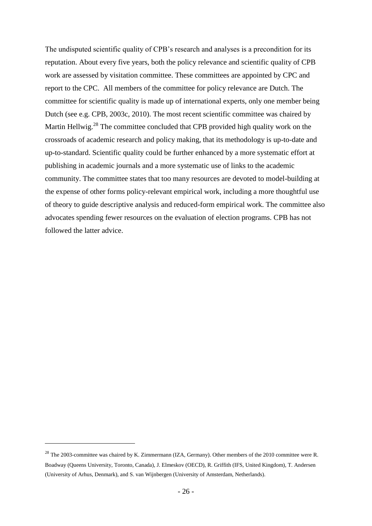The undisputed scientific quality of CPB's research and analyses is a precondition for its reputation. About every five years, both the policy relevance and scientific quality of CPB work are assessed by visitation committee. These committees are appointed by CPC and report to the CPC. All members of the committee for policy relevance are Dutch. The committee for scientific quality is made up of international experts, only one member being Dutch (see e.g. CPB, 2003c, 2010). The most recent scientific committee was chaired by Martin Hellwig.<sup>28</sup> The committee concluded that CPB provided high quality work on the crossroads of academic research and policy making, that its methodology is up-to-date and up-to-standard. Scientific quality could be further enhanced by a more systematic effort at publishing in academic journals and a more systematic use of links to the academic community. The committee states that too many resources are devoted to model-building at the expense of other forms policy-relevant empirical work, including a more thoughtful use of theory to guide descriptive analysis and reduced-form empirical work. The committee also advocates spending fewer resources on the evaluation of election programs. CPB has not followed the latter advice.

<sup>&</sup>lt;sup>28</sup> The 2003-committee was chaired by K. Zimmermann (IZA, Germany). Other members of the 2010 committee were R. Boadway (Queens University, Toronto, Canada), J. Elmeskov (OECD), R. Griffith (IFS, United Kingdom), T. Andersen (University of Arhus, Denmark), and S. van Wijnbergen (University of Amsterdam, Netherlands).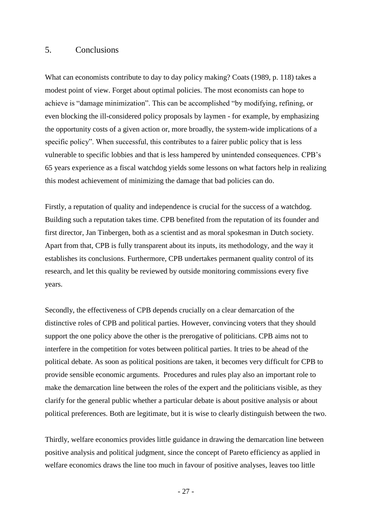### 5. Conclusions

What can economists contribute to day to day policy making? Coats (1989, p. 118) takes a modest point of view. Forget about optimal policies. The most economists can hope to achieve is "damage minimization". This can be accomplished "by modifying, refining, or even blocking the ill-considered policy proposals by laymen - for example, by emphasizing the opportunity costs of a given action or, more broadly, the system-wide implications of a specific policy". When successful, this contributes to a fairer public policy that is less vulnerable to specific lobbies and that is less hampered by unintended consequences. CPB"s 65 years experience as a fiscal watchdog yields some lessons on what factors help in realizing this modest achievement of minimizing the damage that bad policies can do.

Firstly, a reputation of quality and independence is crucial for the success of a watchdog. Building such a reputation takes time. CPB benefited from the reputation of its founder and first director, Jan Tinbergen, both as a scientist and as moral spokesman in Dutch society. Apart from that, CPB is fully transparent about its inputs, its methodology, and the way it establishes its conclusions. Furthermore, CPB undertakes permanent quality control of its research, and let this quality be reviewed by outside monitoring commissions every five years.

Secondly, the effectiveness of CPB depends crucially on a clear demarcation of the distinctive roles of CPB and political parties. However, convincing voters that they should support the one policy above the other is the prerogative of politicians. CPB aims not to interfere in the competition for votes between political parties. It tries to be ahead of the political debate. As soon as political positions are taken, it becomes very difficult for CPB to provide sensible economic arguments. Procedures and rules play also an important role to make the demarcation line between the roles of the expert and the politicians visible, as they clarify for the general public whether a particular debate is about positive analysis or about political preferences. Both are legitimate, but it is wise to clearly distinguish between the two.

Thirdly, welfare economics provides little guidance in drawing the demarcation line between positive analysis and political judgment, since the concept of Pareto efficiency as applied in welfare economics draws the line too much in favour of positive analyses, leaves too little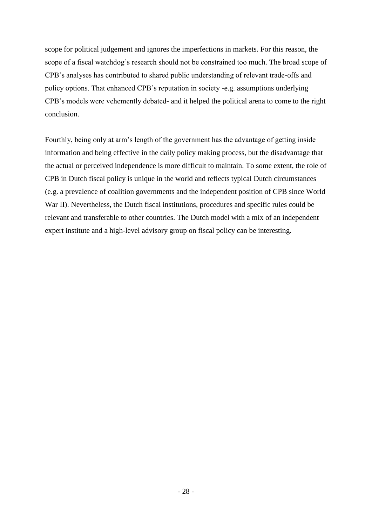scope for political judgement and ignores the imperfections in markets. For this reason, the scope of a fiscal watchdog"s research should not be constrained too much. The broad scope of CPB"s analyses has contributed to shared public understanding of relevant trade-offs and policy options. That enhanced CPB"s reputation in society -e.g. assumptions underlying CPB"s models were vehemently debated- and it helped the political arena to come to the right conclusion.

Fourthly, being only at arm"s length of the government has the advantage of getting inside information and being effective in the daily policy making process, but the disadvantage that the actual or perceived independence is more difficult to maintain. To some extent, the role of CPB in Dutch fiscal policy is unique in the world and reflects typical Dutch circumstances (e.g. a prevalence of coalition governments and the independent position of CPB since World War II). Nevertheless, the Dutch fiscal institutions, procedures and specific rules could be relevant and transferable to other countries. The Dutch model with a mix of an independent expert institute and a high-level advisory group on fiscal policy can be interesting.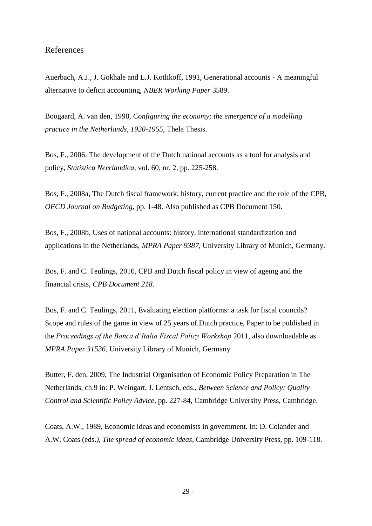# References

Auerbach, A.J., J. Gokhale and L.J. Kotlikoff, 1991, Generational accounts - A meaningful alternative to deficit accounting, *NBER Working Paper* 3589.

Boogaard, A. van den, 1998, *Configuring the economy; the emergence of a modelling practice in the Netherlands, 1920-1955*, Thela Thesis.

Bos, F., 2006, The development of the Dutch national accounts as a tool for analysis and policy, *Statistica Neerlandica*, vol. 60, nr. 2, pp. 225-258.

Bos, F., 2008a, The Dutch fiscal framework; history, current practice and the role of the CPB, *OECD Journal on Budgeting*, pp. 1-48. Also published as CPB Document 150.

Bos, F., 2008b, Uses of national accounts: history, international standardization and applications in the Netherlands, *MPRA Paper 9387*, University Library of Munich, Germany.

Bos, F. and C. Teulings, 2010, CPB and Dutch fiscal policy in view of ageing and the financial crisis, *CPB Document 218*.

Bos, F. and C. Teulings, 2011, Evaluating election platforms: a task for fiscal councils? Scope and rules of the game in view of 25 years of Dutch practice, Paper to be published in the *Proceedings of the Banca d'Italia Fiscal Policy Workshop* 2011, also downloadable as *MPRA Paper 31536*, University Library of Munich, Germany

Butter, F. den, 2009, The Industrial Organisation of Economic Policy Preparation in The Netherlands, ch.9 in: P. Weingart, J. Lentsch, eds., *Between Science and Policy: Quality Control and Scientific Policy Advice*, pp. 227-84, Cambridge University Press, Cambridge.

Coats, A.W., 1989, Economic ideas and economists in government. In: D. Colander and A.W. Coats (eds.*), The spread of economic ideas*, Cambridge University Press, pp. 109-118.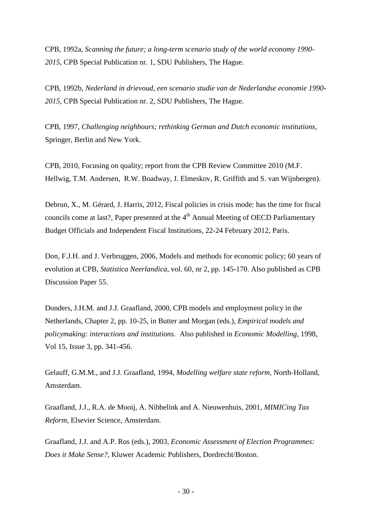CPB, 1992a, *Scanning the future; a long-term scenario study of the world economy 1990- 2015*, CPB Special Publication nr. 1, SDU Publishers, The Hague.

CPB, 1992b, *Nederland in drievoud*, *een scenario studie van de Nederlandse economie 1990- 2015*, CPB Special Publication nr. 2, SDU Publishers, The Hague.

CPB, 1997, *Challenging neighbours; rethinking German and Dutch economic institutions,*  Springer, Berlin and New York.

CPB, 2010, Focusing on quality; report from the CPB Review Committee 2010 (M.F. Hellwig, T.M. Andersen, R.W. Boadway, J. Elmeskov, R. Griffith and S. van Wijnbergen).

Debrun, X., M. Gérard, J. Harris, 2012, Fiscal policies in crisis mode: has the time for fiscal councils come at last?, Paper presented at the 4<sup>th</sup> Annual Meeting of OECD Parliamentary Budget Officials and Independent Fiscal Institutions, 22-24 February 2012, Paris.

Don, F.J.H. and J. Verbruggen, 2006, Models and methods for economic policy; 60 years of evolution at CPB*, Statistica Neerlandica*, vol. 60, nr 2, pp. 145-170. Also published as CPB Discussion Paper 55.

Donders, J.H.M. and J.J. Graafland, 2000, CPB models and employment policy in the Netherlands, Chapter 2, pp. 10-25, in Butter and Morgan (eds.), *Empirical models and policymaking: interactions and institutions*. Also published in *Economic Modelling*, 1998, Vol 15, Issue 3, pp. 341-456.

Gelauff, G.M.M., and J.J. Graafland, 1994, *Modelling welfare state reform,* North-Holland, Amsterdam.

Graafland, J.J., R.A. de Mooij, A. Nibbelink and A. Nieuwenhuis, 2001, *MIMICing Tax Reform,* Elsevier Science, Amsterdam.

Graafland, J.J. and A.P. Ros (eds.), 2003, *Economic Assessment of Election Programmes: Does it Make Sense?,* Kluwer Academic Publishers, Dordrecht/Boston.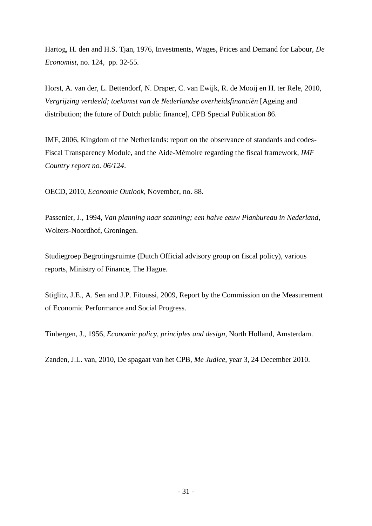Hartog, H. den and H.S. Tjan, 1976, Investments, Wages, Prices and Demand for Labour, *De Economist,* no. 124*,* pp. 32-55*.*

Horst, A. van der, L. Bettendorf, N. Draper, C. van Ewijk, R. de Mooij en H. ter Rele, 2010, *Vergrijzing verdeeld; toekomst van de Nederlandse overheidsfinanciën* [Ageing and distribution; the future of Dutch public finance], CPB Special Publication 86.

IMF, 2006, Kingdom of the Netherlands: report on the observance of standards and codes-Fiscal Transparency Module, and the Aide-Mémoire regarding the fiscal framework, *IMF Country report no. 06/124*.

OECD, 2010, *Economic Outlook*, November, no. 88.

Passenier, J., 1994, *Van planning naar scanning; een halve eeuw Planbureau in Nederland,*  Wolters-Noordhof, Groningen.

Studiegroep Begrotingsruimte (Dutch Official advisory group on fiscal policy), various reports, Ministry of Finance, The Hague.

Stiglitz, J.E., A. Sen and J.P. Fitoussi, 2009, Report by the Commission on the Measurement of Economic Performance and Social Progress.

Tinbergen, J., 1956, *Economic policy, principles and design,* North Holland, Amsterdam.

Zanden, J.L. van, 2010, De spagaat van het CPB, *Me Judice*, year 3, 24 December 2010.